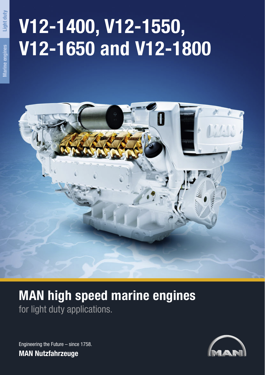# **V12-1400, V12-1550, V12-1650 and V12-1800**



## **MAN high speed marine engines** for light duty applications.

Engineering the Future – since 1758. **MAN Nutzfahrzeuge**



**Light duty**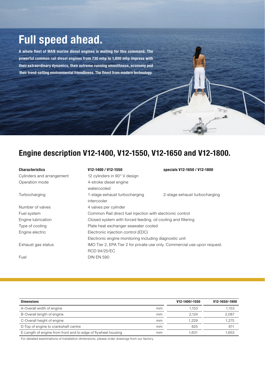### **Full speed ahead.**

**A whole fleet of MAN marine diesel engines is waiting for this command. The powerful common rail diesel engines from 730 mhp to 1,800 mhp impress with their extraordinary dynamics, their extreme running smoothness, economy and their trend-setting environmental friendliness. The finest from modern technology.**

### **Engine description V12-1400, V12-1550, V12-1650 and V12-1800.**

#### **Characteristics V12-1400 / V12-1550 specials V12-1650 / V12-1800**

Cylinders and arrangement Operation mode

| V12-1400 / V12-1550 |  |
|---------------------|--|
|---------------------|--|

| Cylinders and arrangement | 12 cylinders in 90° V design                                              |                                                              |  |  |  |
|---------------------------|---------------------------------------------------------------------------|--------------------------------------------------------------|--|--|--|
| Operation mode            | 4-stroke diesel engine                                                    |                                                              |  |  |  |
|                           | watercooled                                                               |                                                              |  |  |  |
| Turbocharging             | 1-stage exhaust turbocharging                                             | 2-stage exhaust turbocharging                                |  |  |  |
|                           | intercooler                                                               |                                                              |  |  |  |
| Number of valves          | 4 valves per cylinder                                                     |                                                              |  |  |  |
| Fuel system               | Common Rail direct fuel injection with electronic control                 |                                                              |  |  |  |
| Engine lubrication        |                                                                           | Closed system with forced feeding, oil cooling and filtering |  |  |  |
| Type of cooling           | Plate heat exchanger seawater cooled                                      |                                                              |  |  |  |
| Engine electric           | Electronic injection control (EDC)                                        |                                                              |  |  |  |
|                           | Electronic engine monitoring including diagnostic unit                    |                                                              |  |  |  |
| Exhaust gas status        | IMO Tier 2, EPA Tier 2 for private use only. Commercial use upon request. |                                                              |  |  |  |
|                           | <b>RCD 94/25/EC</b>                                                       |                                                              |  |  |  |
| Fuel                      | <b>DIN EN 590</b>                                                         |                                                              |  |  |  |

 $\overline{x}$ 

| <b>Dimensions</b>                                             |    | V12-1400/-1550 | V12-1650/-1800 |
|---------------------------------------------------------------|----|----------------|----------------|
| A-Overall width of engine                                     | mm | 1.153          | 1,153          |
| B-Overall length of engine                                    | mm | 2.124          | 2,087          |
| C-Overall height of engine                                    | mm | 1.229          | 1.275          |
| D-Top of engine to crankshaft centre                          | mm | 825            | 811            |
| E-Length of engine from front end to edge of flywheel housing | mm | .631           | .653           |

For detailed examinations of installation dimensions, please order drawings from our factory.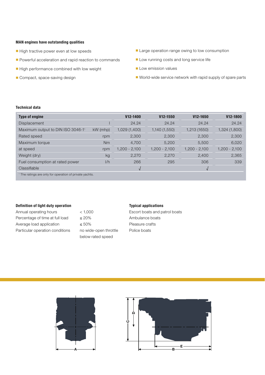#### **MAN engines have outstanding qualities**

- High tractive power even at low speeds
- Powerful acceleration and rapid reaction to commands
- High performance combined with low weight
- Compact, space-saving design
- Large operation range owing to low consumption
- Low running costs and long service life
- Low emission values
- World-wide service network with rapid supply of spare parts

#### **Technical data**

| Type of engine                                                     |            | V <sub>12</sub> -1400 | V12-1550        | V12-1650        | V <sub>12</sub> -1800 |  |
|--------------------------------------------------------------------|------------|-----------------------|-----------------|-----------------|-----------------------|--|
| Displacement                                                       |            | 24.24                 | 24.24           | 24.24           | 24.24                 |  |
| Maximum output to DIN ISO 3046-11                                  | $kW$ (mhp) | 1,029 (1,400)         | 1,140 (1,550)   | 1,213 (1650)    | 1,324 (1,800)         |  |
| Rated speed                                                        | rpm        | 2,300                 | 2,300           | 2,300           | 2,300                 |  |
| Maximum torque                                                     | Nm         | 4,700                 | 5,200           | 5,500           | 6,020                 |  |
| at speed                                                           | rpm        | $1,200 - 2,100$       | $1,200 - 2,100$ | $1,200 - 2,100$ | $1,200 - 2,100$       |  |
| Weight (dry)                                                       | kg         | 2,270                 | 2,270           | 2,400           | 2,365                 |  |
| Fuel consumption at rated power                                    | 1/h        | 266                   | 295             | 306             | 339                   |  |
| Classifiable                                                       |            |                       |                 | $\mathbf v$     |                       |  |
| <sup>1</sup> The ratings are only for operation of private yachts. |            |                       |                 |                 |                       |  |

#### **Definition of light duty operation**

Annual operating hours < 1,000 Percentage of time at full load  $\leq 20\%$ Average load application  $\leq 50\%$ Particular operation conditions no wide-open throttle

below rated speed

#### **Typical applications**

Escort boats and patrol boats Ambulance boats Pleasure crafts Police boats